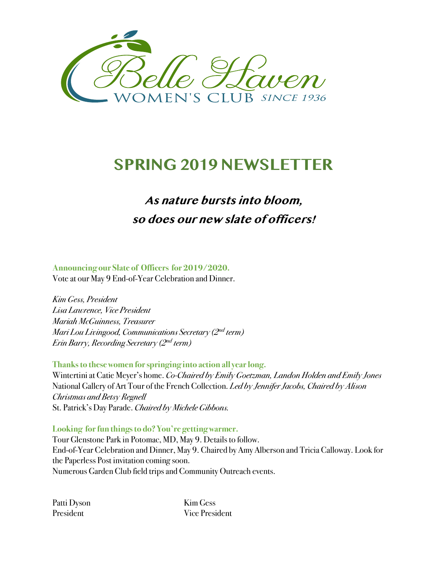

# **SPRING 2019 NEWSLETTER**

## **As nature bursts into bloom, so does our new slate of officers!**

#### **Announcing our Slate of Officers for 2019/2020.**

Vote at our May 9 End-of-Year Celebration and Dinner.

*Kim Gess, President Lisa Lawrence, Vice President Mariah McGuinness, Treasurer Mari Lou Livingood, Communications Secretary (2nd term) Erin Barry, Recording Secretary (2nd term)*

**Thanks to these women for springing into action all year long.**

Wintertini at Catie Meyer's home. *Co-Chaired by Emily Goetzman, Landon Holden and Emily Jones* National Gallery of Art Tour of the French Collection. *Led by Jennifer Jacobs, Chaired by Alison Christmas and Betsy Regnell* St. Patrick's Day Parade. *Chaired by Michele Gibbons.*

Looking for fun things to do? You're getting warmer.

Tour Glenstone Park in Potomac, MD, May 9. Details to follow. End-of-Year Celebration and Dinner, May 9. Chaired by Amy Alberson and Tricia Calloway. Look for the Paperless Post invitation coming soon. Numerous Garden Club field trips and Community Outreach events.

Patti Dyson Kim Gess

President Vice President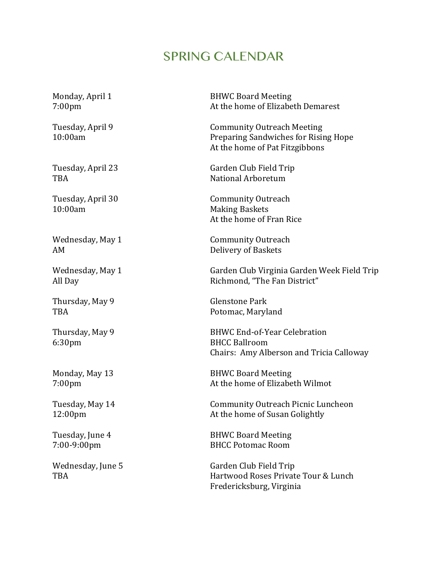### SPRING CALENDAR

10:00am Making Baskets

Thursday, May 9 Glenstone Park

6:30pm BHCC Ballroom

Monday, April 1 **BHWC Board Meeting** 7:00pm At the home of Elizabeth Demarest

Tuesday, April 9 Community Outreach Meeting 10:00am Preparing Sandwiches for Rising Hope At the home of Pat Fitzgibbons

Tuesday, April 23 Garden Club Field Trip TBA **National Arboretum** 

Tuesday, April 30 Community Outreach At the home of Fran Rice

Wednesday, May 1 **Community Outreach** AM Delivery of Baskets

Wednesday, May 1 Garden Club Virginia Garden Week Field Trip All Day **Richmond, "The Fan District"** 

TBA Potomac, Maryland

Thursday, May 9 BHWC End-of-Year Celebration Chairs: Amy Alberson and Tricia Calloway

Monday, May 13 **BHWC Board Meeting** 7:00pm At the home of Elizabeth Wilmot

Tuesday, May 14 **Community Outreach Picnic Luncheon** 12:00pm At the home of Susan Golightly

Tuesday, June 4 BHWC Board Meeting 7:00-9:00pm BHCC Potomac Room

Wednesday, June 5 Garden Club Field Trip TBA **TRA** TBA Hartwood Roses Private Tour & Lunch Fredericksburg, Virginia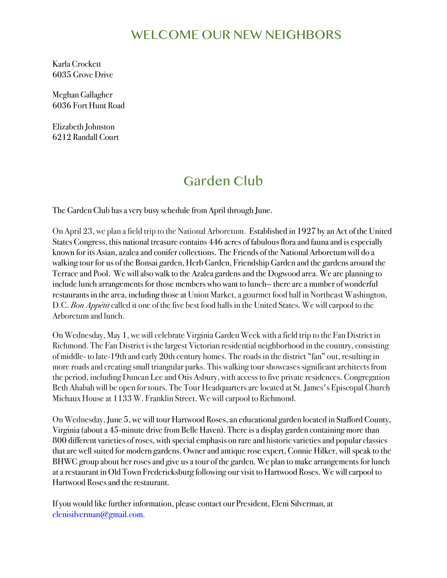## WELCOME OUR NEW NEIGHBORS

Karla Crockett 6035 Grove Drive

Meghan Gallagher 6036 Fort Hunt Road

Elizabeth Johnston 6212 Randall Court

## Garden Club

The Garden Club has a very busy schedule from April through June.

On April 23, we plan a field trip to the National Arboretum. Established in 1927 by an Act of the United States Congress, this national treasure contains 446 acres of fabulous flora and fauna and is especially known for its Asian, azalea and conifer collections. The Friends of the National Arboretum will do a walking tour for us of the Bonsai garden, Herb Garden, Friendship Garden and the gardens around the Terrace and Pool. We will also walk to the Azalea gardens and the Dogwood area. We are planning to include lunch arrangements for those members who want to lunch— there are a number of wonderful restaurants in the area, including those at Union Market, a gourmet food hall in Northeast Washington, D.C. *Bon Appétit* called it one of the five best food halls in the United States. We will carpool to the Arboretum and lunch.

On Wednesday, May 1, we will celebrate Virginia Garden Week with a field trip to the Fan District in Richmond. The Fan District is the largest Victorian residential neighborhood in the country, consisting of middle- to late-19th and early 20th century homes. The roads in the district "fan" out, resulting in more roadsand creating small triangular parks. This walking tour showcases significant architects from the period, including Duncan Lee and Otis Asbury, with access to five private residences. Congregation Beth Ahabah will be open for tours. The Tour Headquarters are located at St. James's Episcopal Church Michaux House at 1133 W. Franklin Street. We will carpool to Richmond.

On Wednesday, June 5, we will tour Hartwood Roses, an educational garden located in Stafford County, Virginia (about a 45-minute drive from Belle Haven). There is a display garden containing more than 800 different varieties of roses, with special emphasis on rare and historic varieties and popular classics that are well suited for modern gardens. Owner and antique rose expert, Connie Hilker, will speak to the BHWC group about her roses and give us a tour of the garden. We plan to make arrangements for lunch at a restaurant in Old Town Fredericksburg following our visit to Hartwood Roses. We will carpool to Hartwood Roses and the restaurant.

If you would like further information, please contact our President, Eleni Silverman,at elenisilverman@gmail.com.